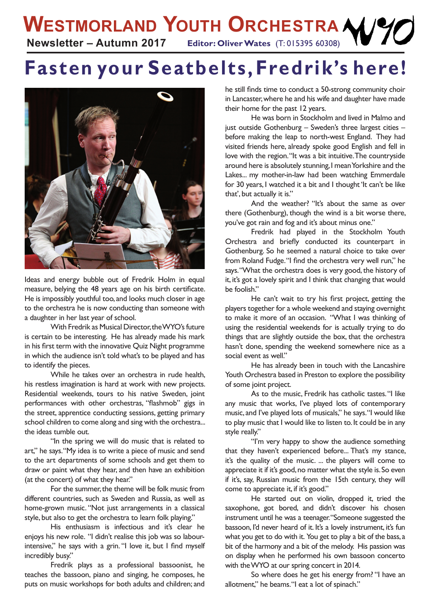## **Fasten your Seatbelts, Fredrik's here!**



Ideas and energy bubble out of Fredrik Holm in equal measure, belying the 48 years age on his birth certificate. He is impossibly youthful too, and looks much closer in age to the orchestra he is now conducting than someone with a daughter in her last year of school.

With Fredrik as Musical Director, the WYO's future is certain to be interesting. He has already made his mark in his first term with the innovative Quiz Night programme in which the audience isn't told what's to be played and has to identify the pieces.

While he takes over an orchestra in rude health, his restless imagination is hard at work with new projects. Residential weekends, tours to his native Sweden, joint performances with other orchestras, "flashmob" gigs in the street, apprentice conducting sessions, getting primary school children to come along and sing with the orchestra... the ideas tumble out.

"In the spring we will do music that is related to art," he says. "My idea is to write a piece of music and send to the art departments of some schools and get them to draw or paint what they hear, and then have an exhibition (at the concert) of what they hear."

For the summer, the theme will be folk music from different countries, such as Sweden and Russia, as well as home-grown music. "Not just arrangements in a classical style, but also to get the orchestra to learn folk playing."

His enthusiasm is infectious and it's clear he enjoys his new role. "I didn't realise this job was so labourintensive," he says with a grin. "I love it, but I find myself incredibly busy."

Fredrik plays as a professional bassoonist, he teaches the bassoon, piano and singing, he composes, he puts on music workshops for both adults and children; and he still finds time to conduct a 50-strong community choir in Lancaster, where he and his wife and daughter have made their home for the past 12 years.

He was born in Stockholm and lived in Malmo and just outside Gothenburg – Sweden's three largest cities – before making the leap to north-west England. They had visited friends here, already spoke good English and fell in love with the region. "It was a bit intuitive. The countryside around here is absolutely stunning, I mean Yorkshire and the Lakes... my mother-in-law had been watching Emmerdale for 30 years, I watched it a bit and I thought 'It can't be like that', but actually it is."

And the weather? "It's about the same as over there (Gothenburg), though the wind is a bit worse there, you've got rain and fog and it's about minus one."

Fredrik had played in the Stockholm Youth Orchestra and briefly conducted its counterpart in Gothenburg. So he seemed a natural choice to take over from Roland Fudge. "I find the orchestra very well run," he says. "What the orchestra does is very good, the history of it, it's got a lovely spirit and I think that changing that would be foolish."

He can't wait to try his first project, getting the players together for a whole weekend and staying overnight to make it more of an occasion. "What I was thinking of using the residential weekends for is actually trying to do things that are slightly outside the box, that the orchestra hasn't done, spending the weekend somewhere nice as a social event as well."

He has already been in touch with the Lancashire Youth Orchestra based in Preston to explore the possibility of some joint project.

As to the music, Fredrik has catholic tastes. "I like any music that works, I've played lots of contemporary music, and I've played lots of musicals," he says. "I would like to play music that I would like to listen to. It could be in any style really."

"I'm very happy to show the audience something that they haven't experienced before... That's my stance, it's the quality of the music. ... the players will come to appreciate it if it's good, no matter what the style is. So even if it's, say, Russian music from the 15th century, they will come to appreciate it, if it's good."

He started out on violin, dropped it, tried the saxophone, got bored, and didn't discover his chosen instrument until he was a teenager. "Someone suggested the bassoon, I'd never heard of it. It's a lovely instrument, it's fun what you get to do with it. You get to play a bit of the bass, a bit of the harmony and a bit of the melody. His passion was on display when he performed his own bassoon concerto with the WYO at our spring concert in 2014.

So where does he get his energy from? "I have an allotment," he beams. "I eat a lot of spinach."